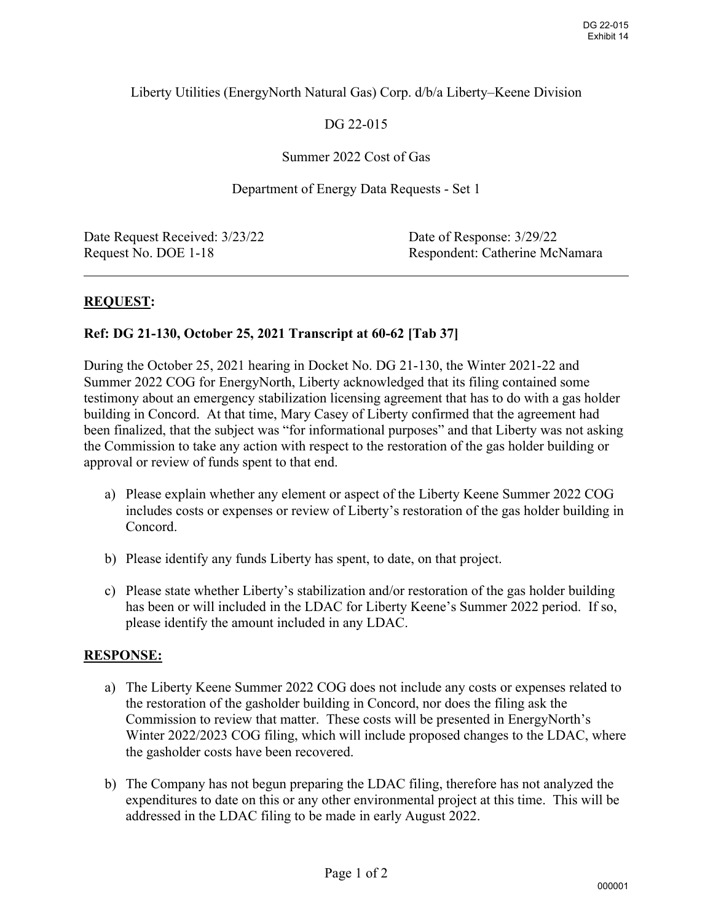## Liberty Utilities (EnergyNorth Natural Gas) Corp. d/b/a Liberty–Keene Division

# DG 22-015

## Summer 2022 Cost of Gas

#### Department of Energy Data Requests - Set 1

| Date Request Received: 3/23/22 | Date of Response: 3/29/22      |
|--------------------------------|--------------------------------|
| Request No. DOE 1-18           | Respondent: Catherine McNamara |
|                                |                                |

## **REQUEST:**

## **Ref: DG 21-130, October 25, 2021 Transcript at 60-62 [Tab 37]**

During the October 25, 2021 hearing in Docket No. DG 21-130, the Winter 2021-22 and Summer 2022 COG for EnergyNorth, Liberty acknowledged that its filing contained some testimony about an emergency stabilization licensing agreement that has to do with a gas holder building in Concord. At that time, Mary Casey of Liberty confirmed that the agreement had been finalized, that the subject was "for informational purposes" and that Liberty was not asking the Commission to take any action with respect to the restoration of the gas holder building or approval or review of funds spent to that end.

- a) Please explain whether any element or aspect of the Liberty Keene Summer 2022 COG includes costs or expenses or review of Liberty's restoration of the gas holder building in Concord.
- b) Please identify any funds Liberty has spent, to date, on that project.
- c) Please state whether Liberty's stabilization and/or restoration of the gas holder building has been or will included in the LDAC for Liberty Keene's Summer 2022 period. If so, please identify the amount included in any LDAC.

## **RESPONSE:**

- a) The Liberty Keene Summer 2022 COG does not include any costs or expenses related to the restoration of the gasholder building in Concord, nor does the filing ask the Commission to review that matter. These costs will be presented in EnergyNorth's Winter 2022/2023 COG filing, which will include proposed changes to the LDAC, where the gasholder costs have been recovered.
- b) The Company has not begun preparing the LDAC filing, therefore has not analyzed the expenditures to date on this or any other environmental project at this time. This will be addressed in the LDAC filing to be made in early August 2022.